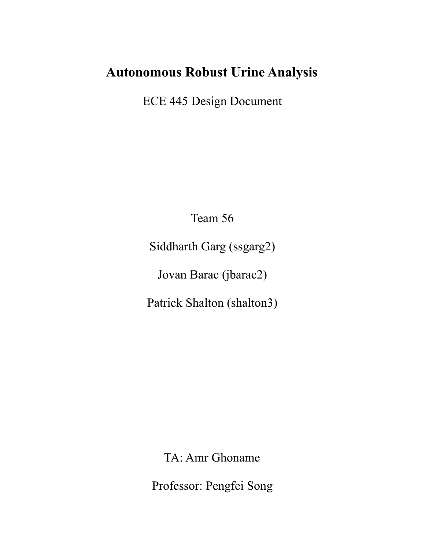# **Autonomous Robust Urine Analysis**

ECE 445 Design Document

Team 56

Siddharth Garg (ssgarg2)

Jovan Barac (jbarac2)

Patrick Shalton (shalton3)

TA: Amr Ghoname

Professor: Pengfei Song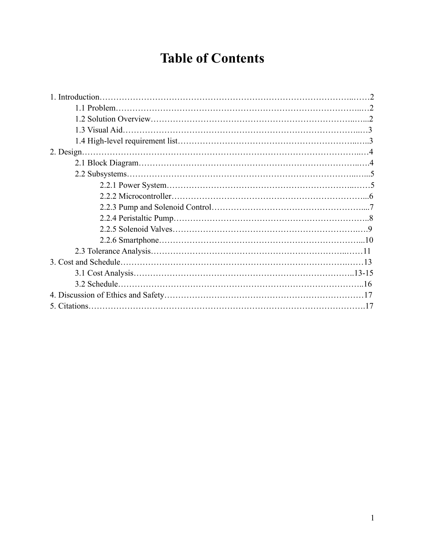# **Table of Contents**

| 2. Design. |  |
|------------|--|
|            |  |
|            |  |
|            |  |
|            |  |
|            |  |
|            |  |
|            |  |
|            |  |
|            |  |
|            |  |
|            |  |
|            |  |
|            |  |
|            |  |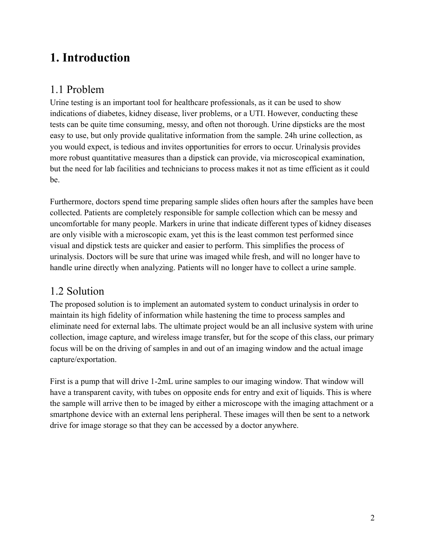# **1. Introduction**

### 1.1 Problem

Urine testing is an important tool for healthcare professionals, as it can be used to show indications of diabetes, kidney disease, liver problems, or a UTI. However, conducting these tests can be quite time consuming, messy, and often not thorough. Urine dipsticks are the most easy to use, but only provide qualitative information from the sample. 24h urine collection, as you would expect, is tedious and invites opportunities for errors to occur. Urinalysis provides more robust quantitative measures than a dipstick can provide, via microscopical examination, but the need for lab facilities and technicians to process makes it not as time efficient as it could be.

Furthermore, doctors spend time preparing sample slides often hours after the samples have been collected. Patients are completely responsible for sample collection which can be messy and uncomfortable for many people. Markers in urine that indicate different types of kidney diseases are only visible with a microscopic exam, yet this is the least common test performed since visual and dipstick tests are quicker and easier to perform. This simplifies the process of urinalysis. Doctors will be sure that urine was imaged while fresh, and will no longer have to handle urine directly when analyzing. Patients will no longer have to collect a urine sample.

## 1.2 Solution

The proposed solution is to implement an automated system to conduct urinalysis in order to maintain its high fidelity of information while hastening the time to process samples and eliminate need for external labs. The ultimate project would be an all inclusive system with urine collection, image capture, and wireless image transfer, but for the scope of this class, our primary focus will be on the driving of samples in and out of an imaging window and the actual image capture/exportation.

First is a pump that will drive 1-2mL urine samples to our imaging window. That window will have a transparent cavity, with tubes on opposite ends for entry and exit of liquids. This is where the sample will arrive then to be imaged by either a microscope with the imaging attachment or a smartphone device with an external lens peripheral. These images will then be sent to a network drive for image storage so that they can be accessed by a doctor anywhere.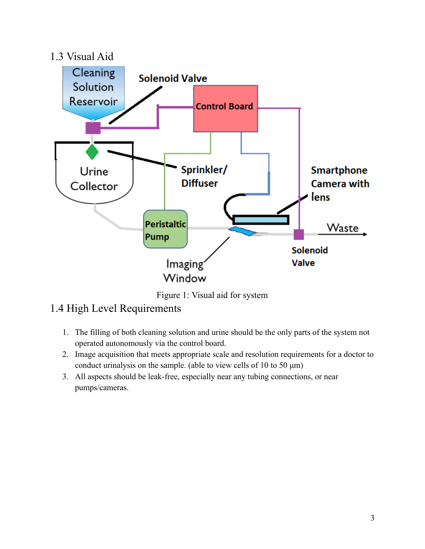

Figure 1: Visual aid for system

## 1.4 High Level Requirements

- 1. The filling of both cleaning solution and urine should be the only parts of the system not operated autonomously via the control board.
- 2. Image acquisition that meets appropriate scale and resolution requirements for a doctor to conduct urinalysis on the sample. (able to view cells of 10 to 50 μm)
- 3. All aspects should be leak-free, especially near any tubing connections, or near pumps/cameras.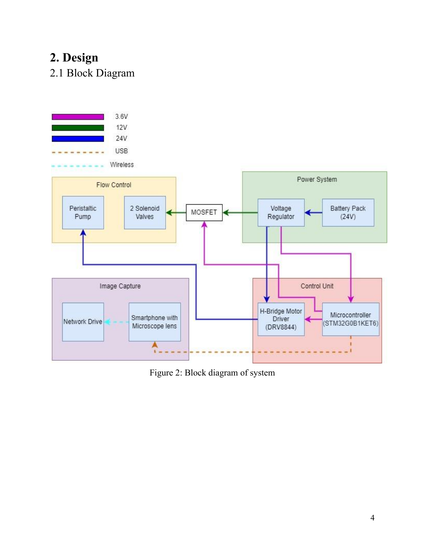# **2. Design**

2.1 Block Diagram



Figure 2: Block diagram of system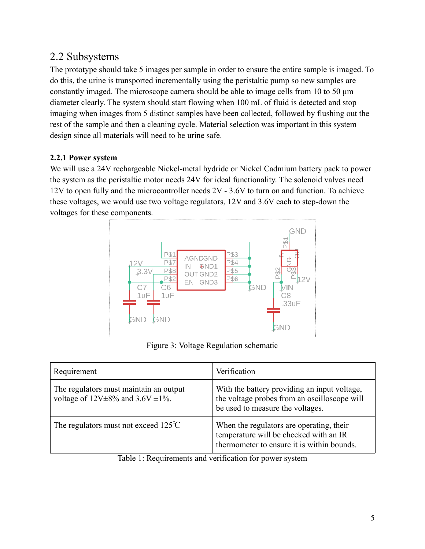### 2.2 Subsystems

The prototype should take 5 images per sample in order to ensure the entire sample is imaged. To do this, the urine is transported incrementally using the peristaltic pump so new samples are constantly imaged. The microscope camera should be able to image cells from 10 to 50 μm diameter clearly. The system should start flowing when 100 mL of fluid is detected and stop imaging when images from 5 distinct samples have been collected, followed by flushing out the rest of the sample and then a cleaning cycle. Material selection was important in this system design since all materials will need to be urine safe.

#### **2.2.1 Power system**

We will use a 24V rechargeable Nickel-metal hydride or Nickel Cadmium battery pack to power the system as the peristaltic motor needs 24V for ideal functionality. The solenoid valves need 12V to open fully and the microcontroller needs 2V - 3.6V to turn on and function. To achieve these voltages, we would use two voltage regulators, 12V and 3.6V each to step-down the voltages for these components.



Figure 3: Voltage Regulation schematic

| Requirement                                                                             | Verification                                                                                                                     |
|-----------------------------------------------------------------------------------------|----------------------------------------------------------------------------------------------------------------------------------|
| The regulators must maintain an output<br>voltage of $12V \pm 8\%$ and $3.6V \pm 1\%$ . | With the battery providing an input voltage,<br>the voltage probes from an oscilloscope will<br>be used to measure the voltages. |
| The regulators must not exceed $125^{\circ}$ C                                          | When the regulators are operating, their<br>temperature will be checked with an IR<br>thermometer to ensure it is within bounds. |

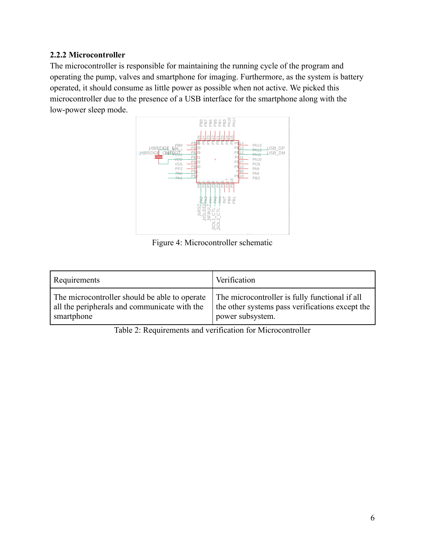#### **2.2.2 Microcontroller**

The microcontroller is responsible for maintaining the running cycle of the program and operating the pump, valves and smartphone for imaging. Furthermore, as the system is battery operated, it should consume as little power as possible when not active. We picked this microcontroller due to the presence of a USB interface for the smartphone along with the low-power sleep mode.



Figure 4: Microcontroller schematic

| Requirements                                  | Verification                                    |
|-----------------------------------------------|-------------------------------------------------|
| The microcontroller should be able to operate | The microcontroller is fully functional if all  |
| all the peripherals and communicate with the  | the other systems pass verifications except the |
| smartphone                                    | power subsystem.                                |

Table 2: Requirements and verification for Microcontroller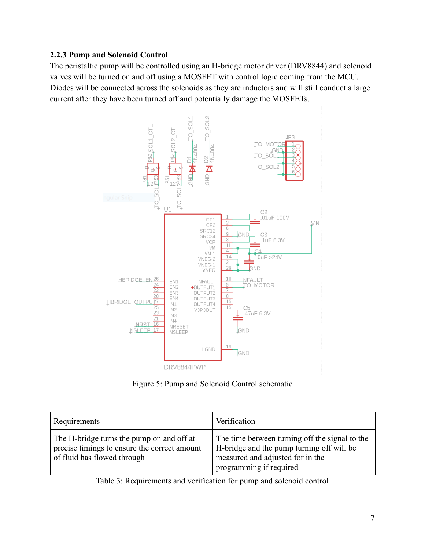#### **2.2.3 Pump and Solenoid Control**

The peristaltic pump will be controlled using an H-bridge motor driver (DRV8844) and solenoid valves will be turned on and off using a MOSFET with control logic coming from the MCU. Diodes will be connected across the solenoids as they are inductors and will still conduct a large current after they have been turned off and potentially damage the MOSFETs.



Figure 5: Pump and Solenoid Control schematic

| Requirements                                                                                                             | Verification                                                                                                                                               |
|--------------------------------------------------------------------------------------------------------------------------|------------------------------------------------------------------------------------------------------------------------------------------------------------|
| The H-bridge turns the pump on and off at<br>precise timings to ensure the correct amount<br>of fluid has flowed through | The time between turning off the signal to the<br>H-bridge and the pump turning off will be<br>measured and adjusted for in the<br>programming if required |

Table 3: Requirements and verification for pump and solenoid control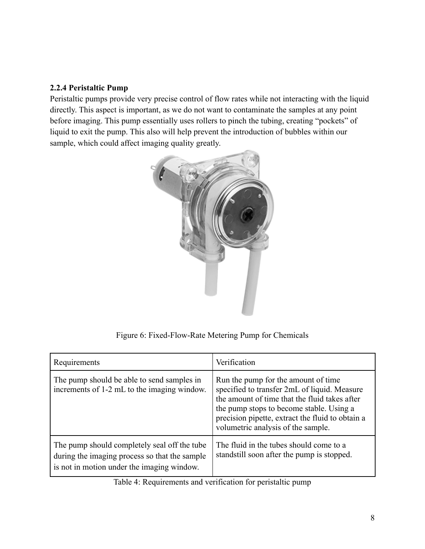#### **2.2.4 Peristaltic Pump**

Peristaltic pumps provide very precise control of flow rates while not interacting with the liquid directly. This aspect is important, as we do not want to contaminate the samples at any point before imaging. This pump essentially uses rollers to pinch the tubing, creating "pockets" of liquid to exit the pump. This also will help prevent the introduction of bubbles within our sample, which could affect imaging quality greatly.



Figure 6: Fixed-Flow-Rate Metering Pump for Chemicals

| Requirements                                                                                                                                | Verification                                                                                                                                                                                                                                                               |
|---------------------------------------------------------------------------------------------------------------------------------------------|----------------------------------------------------------------------------------------------------------------------------------------------------------------------------------------------------------------------------------------------------------------------------|
| The pump should be able to send samples in<br>increments of 1-2 mL to the imaging window.                                                   | Run the pump for the amount of time<br>specified to transfer 2mL of liquid. Measure<br>the amount of time that the fluid takes after<br>the pump stops to become stable. Using a<br>precision pipette, extract the fluid to obtain a<br>volumetric analysis of the sample. |
| The pump should completely seal off the tube<br>during the imaging process so that the sample<br>is not in motion under the imaging window. | The fluid in the tubes should come to a<br>standstill soon after the pump is stopped.                                                                                                                                                                                      |

Table 4: Requirements and verification for peristaltic pump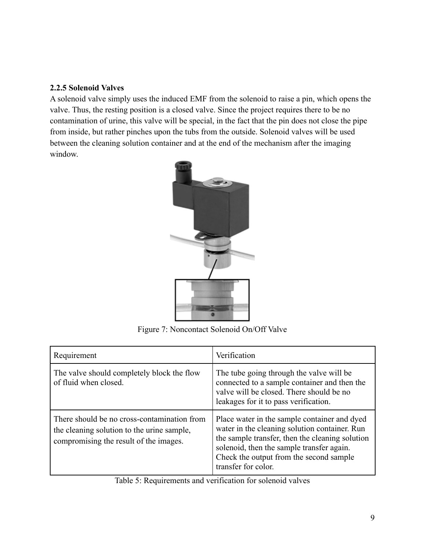#### **2.2.5 Solenoid Valves**

A solenoid valve simply uses the induced EMF from the solenoid to raise a pin, which opens the valve. Thus, the resting position is a closed valve. Since the project requires there to be no contamination of urine, this valve will be special, in the fact that the pin does not close the pipe from inside, but rather pinches upon the tubs from the outside. Solenoid valves will be used between the cleaning solution container and at the end of the mechanism after the imaging window.



Figure 7: Noncontact Solenoid On/Off Valve

| Requirement                                                                                                                         | Verification                                                                                                                                                                                                                                                    |  |
|-------------------------------------------------------------------------------------------------------------------------------------|-----------------------------------------------------------------------------------------------------------------------------------------------------------------------------------------------------------------------------------------------------------------|--|
| The valve should completely block the flow<br>of fluid when closed.                                                                 | The tube going through the valve will be<br>connected to a sample container and then the<br>valve will be closed. There should be no<br>leakages for it to pass verification.                                                                                   |  |
| There should be no cross-contamination from<br>the cleaning solution to the urine sample,<br>compromising the result of the images. | Place water in the sample container and dyed<br>water in the cleaning solution container. Run<br>the sample transfer, then the cleaning solution<br>solenoid, then the sample transfer again.<br>Check the output from the second sample<br>transfer for color. |  |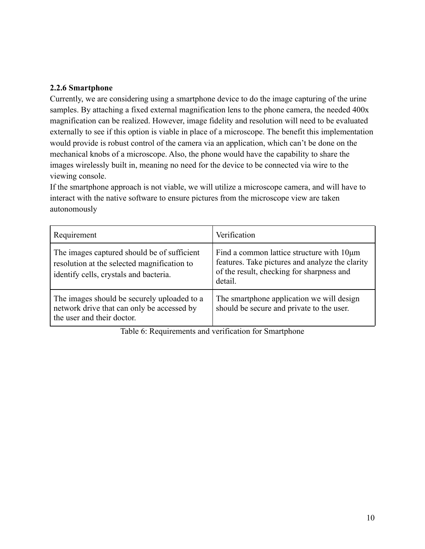#### **2.2.6 Smartphone**

Currently, we are considering using a smartphone device to do the image capturing of the urine samples. By attaching a fixed external magnification lens to the phone camera, the needed 400x magnification can be realized. However, image fidelity and resolution will need to be evaluated externally to see if this option is viable in place of a microscope. The benefit this implementation would provide is robust control of the camera via an application, which can't be done on the mechanical knobs of a microscope. Also, the phone would have the capability to share the images wirelessly built in, meaning no need for the device to be connected via wire to the viewing console.

If the smartphone approach is not viable, we will utilize a microscope camera, and will have to interact with the native software to ensure pictures from the microscope view are taken autonomously

| Requirement                                                                                                                          | Verification                                                                                                                                         |
|--------------------------------------------------------------------------------------------------------------------------------------|------------------------------------------------------------------------------------------------------------------------------------------------------|
| The images captured should be of sufficient<br>resolution at the selected magnification to<br>identify cells, crystals and bacteria. | Find a common lattice structure with 10µm<br>features. Take pictures and analyze the clarity<br>of the result, checking for sharpness and<br>detail. |
| The images should be securely uploaded to a<br>network drive that can only be accessed by<br>the user and their doctor.              | The smartphone application we will design<br>should be secure and private to the user.                                                               |

Table 6: Requirements and verification for Smartphone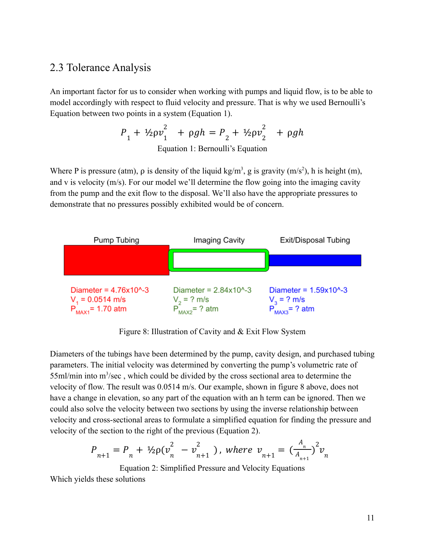#### 2.3 Tolerance Analysis

An important factor for us to consider when working with pumps and liquid flow, is to be able to model accordingly with respect to fluid velocity and pressure. That is why we used Bernoulli's Equation between two points in a system (Equation 1).

$$
P_1 + \frac{1}{2} \rho v_1^2 + \rho g h = P_2 + \frac{1}{2} \rho v_2^2 + \rho g h
$$
  
Equation 1: Bernoulli's Equation

Where P is pressure (atm),  $\rho$  is density of the liquid kg/m<sup>3</sup>, g is gravity (m/s<sup>2</sup>), h is height (m), and v is velocity (m/s). For our model we'll determine the flow going into the imaging cavity from the pump and the exit flow to the disposal. We'll also have the appropriate pressures to demonstrate that no pressures possibly exhibited would be of concern.



Figure 8: Illustration of Cavity and & Exit Flow System

Diameters of the tubings have been determined by the pump, cavity design, and purchased tubing parameters. The initial velocity was determined by converting the pump's volumetric rate of 55ml/min into m<sup>3</sup>/sec, which could be divided by the cross sectional area to determine the velocity of flow. The result was 0.0514 m/s. Our example, shown in figure 8 above, does not have a change in elevation, so any part of the equation with an h term can be ignored. Then we could also solve the velocity between two sections by using the inverse relationship between velocity and cross-sectional areas to formulate a simplified equation for finding the pressure and velocity of the section to the right of the previous (Equation 2).

$$
P_{n+1} = P_n + \frac{1}{2} \rho (v_n^2 - v_{n+1}^2), \text{ where } v_{n+1} = \left(\frac{A_n}{A_{n+1}}\right)^2 v_n
$$

Equation 2: Simplified Pressure and Velocity Equations

Which yields these solutions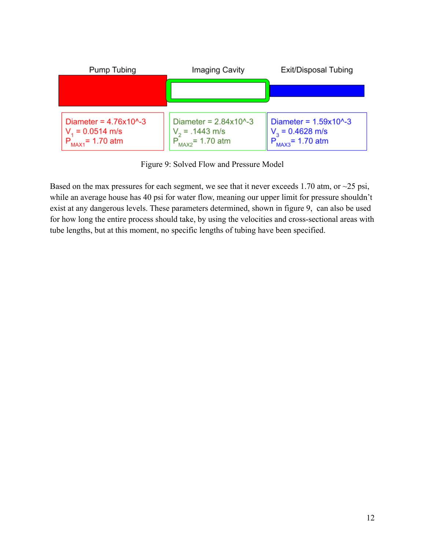

Figure 9: Solved Flow and Pressure Model

Based on the max pressures for each segment, we see that it never exceeds 1.70 atm, or  $\sim$ 25 psi, while an average house has 40 psi for water flow, meaning our upper limit for pressure shouldn't exist at any dangerous levels. These parameters determined, shown in figure 9, can also be used for how long the entire process should take, by using the velocities and cross-sectional areas with tube lengths, but at this moment, no specific lengths of tubing have been specified.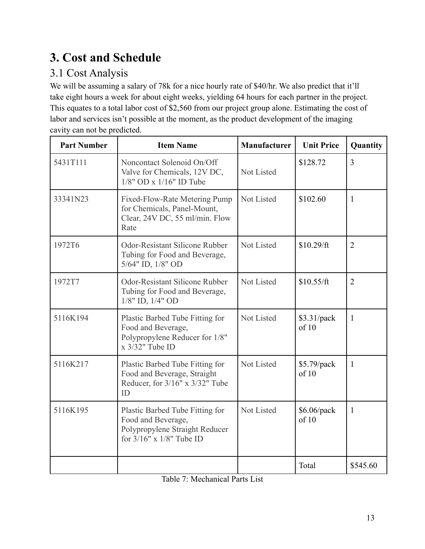# **3. Cost and Schedule**

# 3.1 Cost Analysis

We will be assuming a salary of 78k for a nice hourly rate of \$40/hr. We also predict that it'll take eight hours a week for about eight weeks, yielding 64 hours for each partner in the project. This equates to a total labor cost of \$2,560 from our project group alone. Estimating the cost of labor and services isn't possible at the moment, as the product development of the imaging cavity can not be predicted.

| <b>Part Number</b> | <b>Item Name</b>                                                                                                        | Manufacturer | <b>Unit Price</b>      | Quantity       |
|--------------------|-------------------------------------------------------------------------------------------------------------------------|--------------|------------------------|----------------|
| 5431T111           | Noncontact Solenoid On/Off<br>Valve for Chemicals, 12V DC,<br>$1/8$ " OD x $1/16$ " ID Tube                             | Not Listed   | \$128.72               | 3              |
| 33341N23           | Not Listed<br>Fixed-Flow-Rate Metering Pump<br>for Chemicals, Panel-Mount,<br>Clear, 24V DC, 55 ml/min. Flow<br>Rate    |              | \$102.60               | 1              |
| 1972T6             | <b>Odor-Resistant Silicone Rubber</b><br>Tubing for Food and Beverage,<br>5/64" ID, 1/8" OD                             | Not Listed   | \$10.29/ft             | $\overline{2}$ |
| 1972T7             | Odor-Resistant Silicone Rubber<br>Tubing for Food and Beverage,<br>$1/8"$ ID, $1/4"$ OD                                 | Not Listed   | \$10.55/ft             | $\overline{2}$ |
| 5116K194           | Plastic Barbed Tube Fitting for<br>Food and Beverage,<br>Polypropylene Reducer for 1/8"<br>x 3/32" Tube ID              | Not Listed   | \$3.31/pack<br>of 10   | $\mathbf{1}$   |
| 5116K217           | Plastic Barbed Tube Fitting for<br>Food and Beverage, Straight<br>Reducer, for $3/16$ " x $3/32$ " Tube<br>ID           | Not Listed   | \$5.79/pack<br>of 10   | $\mathbf{1}$   |
| 5116K195           | Plastic Barbed Tube Fitting for<br>Food and Beverage,<br>Polypropylene Straight Reducer<br>for $3/16"$ x $1/8"$ Tube ID | Not Listed   | $$6.06$ /pack<br>of 10 | 1              |
|                    |                                                                                                                         |              | Total                  | \$545.60       |

Table 7: Mechanical Parts List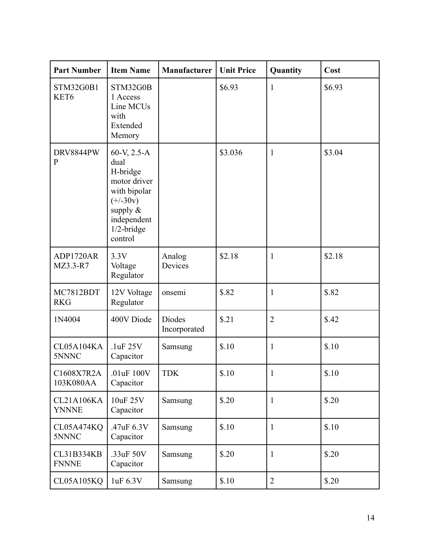| <b>Part Number</b>                   | <b>Item Name</b>                                                                                                                        | Manufacturer           | <b>Unit Price</b> | Quantity       | Cost   |
|--------------------------------------|-----------------------------------------------------------------------------------------------------------------------------------------|------------------------|-------------------|----------------|--------|
| <b>STM32G0B1</b><br>KET <sub>6</sub> | STM32G0B<br>1 Access<br>Line MCUs<br>with<br>Extended<br>Memory                                                                         |                        | \$6.93            | $\mathbf{1}$   | \$6.93 |
| DRV8844PW<br>$\mathbf{P}$            | 60-V, 2.5-A<br>dual<br>H-bridge<br>motor driver<br>with bipolar<br>$(+/-30v)$<br>supply $\&$<br>independent<br>$1/2$ -bridge<br>control |                        | \$3.036           | $\mathbf{1}$   | \$3.04 |
| ADP1720AR<br>MZ3.3-R7                | 3.3V<br>Voltage<br>Regulator                                                                                                            | Analog<br>Devices      | \$2.18            | $\mathbf{1}$   | \$2.18 |
| MC7812BDT<br><b>RKG</b>              | 12V Voltage<br>Regulator                                                                                                                | onsemi                 | \$.82             | $\mathbf{1}$   | \$.82  |
| 1N4004                               | 400V Diode                                                                                                                              | Diodes<br>Incorporated | \$.21             | $\overline{2}$ | \$.42  |
| CL05A104KA<br>5NNNC                  | .1uF 25V<br>Capacitor                                                                                                                   | Samsung                | \$.10             | $\mathbf{1}$   | \$.10  |
| C1608X7R2A<br>103K080AA              | .01 $uF$ 100 $V$<br>Capacitor                                                                                                           | <b>TDK</b>             | \$.10             | 1              | \$.10  |
| <b>CL21A106KA</b><br><b>YNNNE</b>    | 10uF 25V<br>Capacitor                                                                                                                   | Samsung                | \$.20             | $\mathbf{1}$   | \$.20  |
| CL05A474KQ<br>5NNNC                  | .47 $uF$ 6.3V<br>Capacitor                                                                                                              | Samsung                | \$.10             | $\mathbf{1}$   | \$.10  |
| <b>CL31B334KB</b><br><b>FNNNE</b>    | .33uF 50V<br>Capacitor                                                                                                                  | Samsung                | \$.20             | $\mathbf{1}$   | \$.20  |
| <b>CL05A105KQ</b>                    | 1uF 6.3V                                                                                                                                | Samsung                | \$.10             | $\overline{2}$ | \$.20  |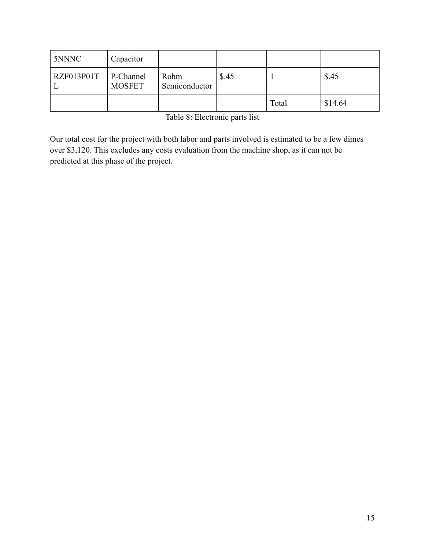| 5NNNC                  | Capacitor     |                       |       |       |         |
|------------------------|---------------|-----------------------|-------|-------|---------|
| $RZF013P01T$ P-Channel | <b>MOSFET</b> | Rohm<br>Semiconductor | \$.45 |       | \$.45   |
|                        |               |                       |       | Total | \$14.64 |

Table 8: Electronic parts list

Our total cost for the project with both labor and parts involved is estimated to be a few dimes over \$3,120. This excludes any costs evaluation from the machine shop, as it can not be predicted at this phase of the project.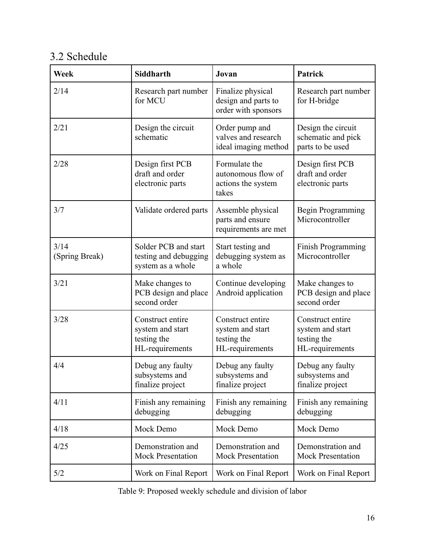## 3.2 Schedule

| <b>Week</b>            | Siddharth                                                              | Jovan                                                                                                                                            | Patrick                                                      |  |
|------------------------|------------------------------------------------------------------------|--------------------------------------------------------------------------------------------------------------------------------------------------|--------------------------------------------------------------|--|
| 2/14                   | Research part number<br>for MCU                                        | Finalize physical<br>design and parts to<br>order with sponsors                                                                                  | Research part number<br>for H-bridge                         |  |
| 2/21                   | Design the circuit<br>schematic                                        | Order pump and<br>valves and research<br>ideal imaging method                                                                                    | Design the circuit<br>schematic and pick<br>parts to be used |  |
| 2/28                   | Design first PCB<br>draft and order<br>electronic parts                | Formulate the<br>autonomous flow of<br>actions the system<br>takes                                                                               | Design first PCB<br>draft and order<br>electronic parts      |  |
| 3/7                    | Validate ordered parts                                                 | Assemble physical<br>parts and ensure<br>requirements are met                                                                                    | Begin Programming<br>Microcontroller                         |  |
| 3/14<br>(Spring Break) | Solder PCB and start<br>testing and debugging<br>system as a whole     | Start testing and<br>debugging system as<br>a whole                                                                                              | Finish Programming<br>Microcontroller                        |  |
| 3/21                   | Make changes to<br>PCB design and place<br>second order                | Continue developing<br>Android application                                                                                                       | Make changes to<br>PCB design and place<br>second order      |  |
| 3/28                   | Construct entire<br>system and start<br>testing the<br>HL-requirements | Construct entire<br>Construct entire<br>system and start<br>system and start<br>testing the<br>testing the<br>HL-requirements<br>HL-requirements |                                                              |  |
| 4/4                    | Debug any faulty<br>subsystems and<br>finalize project                 | Debug any faulty<br>Debug any faulty<br>subsystems and<br>subsystems and<br>finalize project<br>finalize project                                 |                                                              |  |
| 4/11                   | Finish any remaining<br>debugging                                      | Finish any remaining<br>debugging                                                                                                                | Finish any remaining<br>debugging                            |  |
| 4/18                   | Mock Demo                                                              | Mock Demo                                                                                                                                        | Mock Demo                                                    |  |
| 4/25                   | Demonstration and<br><b>Mock Presentation</b>                          | Demonstration and<br>Demonstration and<br><b>Mock Presentation</b><br><b>Mock Presentation</b>                                                   |                                                              |  |
| 5/2                    | Work on Final Report                                                   | Work on Final Report                                                                                                                             | Work on Final Report                                         |  |

Table 9: Proposed weekly schedule and division of labor